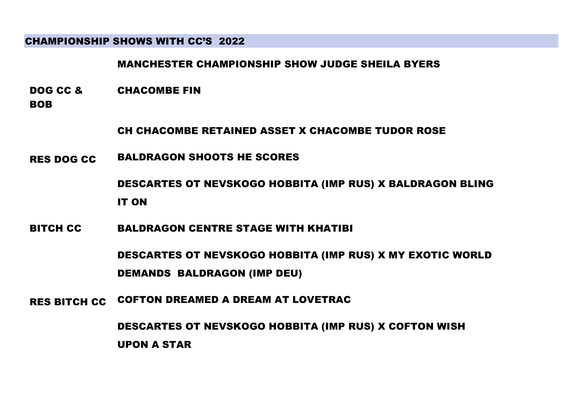## CHAMPIONSHIP SHOWS WITH CC'S 2022

MANCHESTER CHAMPIONSHIP SHOW JUDGE SHEILA BYERS

- DOG CC & CHACOMBE FIN
- BOB

CH CHACOMBE RETAINED ASSET X CHACOMBE TUDOR ROSE

RES DOG CC BALDRAGON SHOOTS HE SCORES

DESCARTES OT NEVSKOGO HOBBITA (IMP RUS) X BALDRAGON BLING IT ON

BITCH CC BALDRAGON CENTRE STAGE WITH KHATIBI

DESCARTES OT NEVSKOGO HOBBITA (IMP RUS) X MY EXOTIC WORLD DEMANDS BALDRAGON (IMP DEU)

RES BITCH CC COFTON DREAMED A DREAM AT LOVETRAC

DESCARTES OT NEVSKOGO HOBBITA (IMP RUS) X COFTON WISH UPON A STAR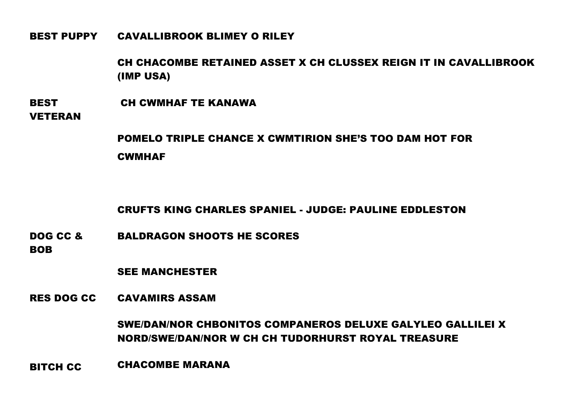BEST PUPPY CAVALLIBROOK BLIMEY O RILEY

CH CHACOMBE RETAINED ASSET X CH CLUSSEX REIGN IT IN CAVALLIBROOK (IMP USA)

**BEST** CH CWMHAF TE KANAWA

VETERAN

POMELO TRIPLE CHANCE X CWMTIRION SHE'S TOO DAM HOT FOR **CWMHAF** 

CRUFTS KING CHARLES SPANIEL - JUDGE: PAULINE EDDLESTON

DOG CC & BALDRAGON SHOOTS HE SCORES

**BOB** 

SEE MANCHESTER

RES DOG CC CAVAMIRS ASSAM

SWE/DAN/NOR CHBONITOS COMPANEROS DELUXE GALYLEO GALLILEI X NORD/SWE/DAN/NOR W CH CH TUDORHURST ROYAL TREASURE

BITCH CC CHACOMBE MARANA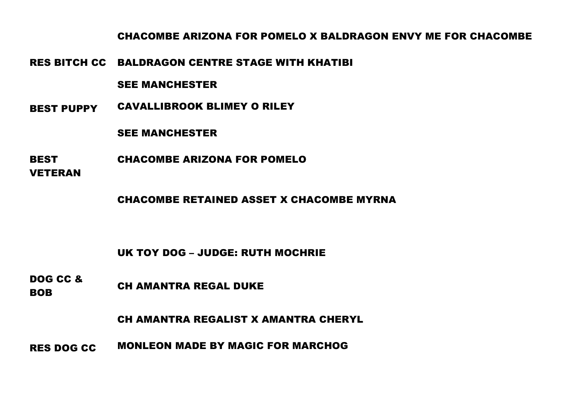CHACOMBE ARIZONA FOR POMELO X BALDRAGON ENVY ME FOR CHACOMBE

RES BITCH CC BALDRAGON CENTRE STAGE WITH KHATIBI

### SEE MANCHESTER

BEST PUPPY CAVALLIBROOK BLIMEY O RILEY

### SEE MANCHESTER

**BEST** CHACOMBE ARIZONA FOR POMELO

VETERAN

CHACOMBE RETAINED ASSET X CHACOMBE MYRNA

UK TOY DOG – JUDGE: RUTH MOCHRIE

DOG CC & **BOB** CH AMANTRA REGAL DUKE

CH AMANTRA REGALIST X AMANTRA CHERYL

RES DOG CC MONLEON MADE BY MAGIC FOR MARCHOG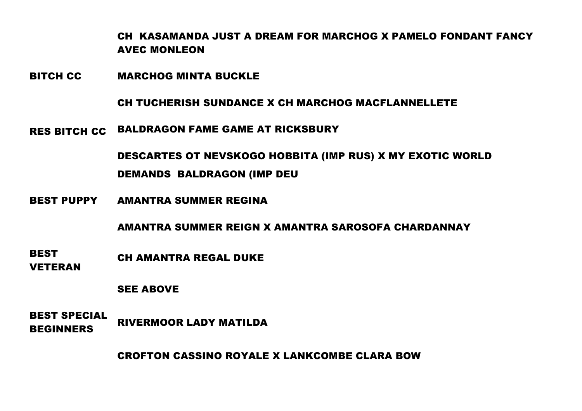CH KASAMANDA JUST A DREAM FOR MARCHOG X PAMELO FONDANT FANCY AVEC MONLEON

BITCH CC MARCHOG MINTA BUCKLE

CH TUCHERISH SUNDANCE X CH MARCHOG MACFLANNELLETE

RES BITCH CC BALDRAGON FAME GAME AT RICKSBURY

DESCARTES OT NEVSKOGO HOBBITA (IMP RUS) X MY EXOTIC WORLD DEMANDS BALDRAGON (IMP DEU

BEST PUPPY AMANTRA SUMMER REGINA

AMANTRA SUMMER REIGN X AMANTRA SAROSOFA CHARDANNAY

- **BEST** CH AMANTRA REGAL DUKE
- VETERAN

SEE ABOVE

BEST SPECIAL BEGINNERS RIVERMOOR LADY MATILDA

CROFTON CASSINO ROYALE X LANKCOMBE CLARA BOW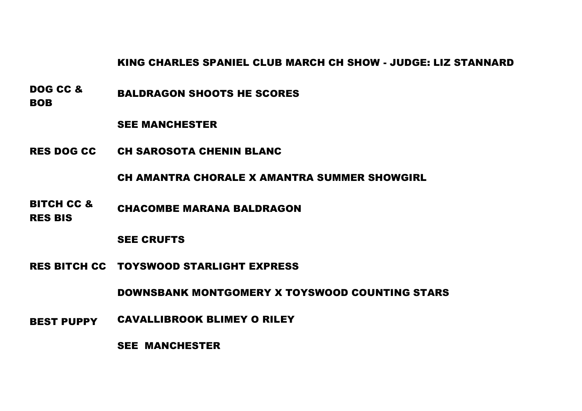KING CHARLES SPANIEL CLUB MARCH CH SHOW - JUDGE: LIZ STANNARD

DOG CC & **BOB** BALDRAGON SHOOTS HE SCORES

#### SEE MANCHESTER

RES DOG CC CH SAROSOTA CHENIN BLANC

#### CH AMANTRA CHORALE X AMANTRA SUMMER SHOWGIRL

- BITCH CC & CHACOMBE MARANA BALDRAGON
- RES BIS

### SEE CRUFTS

RES BITCH CC TOYSWOOD STARLIGHT EXPRESS

DOWNSBANK MONTGOMERY X TOYSWOOD COUNTING STARS

BEST PUPPY CAVALLIBROOK BLIMEY O RILEY

SEE MANCHESTER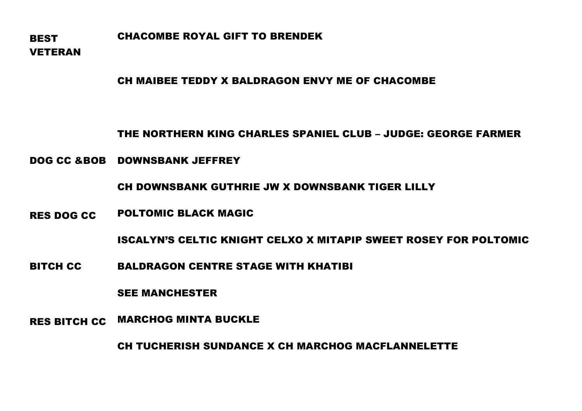**BEST** VETERAN CHACOMBE ROYAL GIFT TO BRENDEK

### CH MAIBEE TEDDY X BALDRAGON ENVY ME OF CHACOMBE

THE NORTHERN KING CHARLES SPANIEL CLUB – JUDGE: GEORGE FARMER

DOG CC &BOB DOWNSBANK JEFFREY

CH DOWNSBANK GUTHRIE JW X DOWNSBANK TIGER LILLY

RES DOG CC POLTOMIC BLACK MAGIC

ISCALYN'S CELTIC KNIGHT CELXO X MITAPIP SWEET ROSEY FOR POLTOMIC

BITCH CC BALDRAGON CENTRE STAGE WITH KHATIBI

SEE MANCHESTER

RES BITCH CC MARCHOG MINTA BUCKLE

CH TUCHERISH SUNDANCE X CH MARCHOG MACFLANNELETTE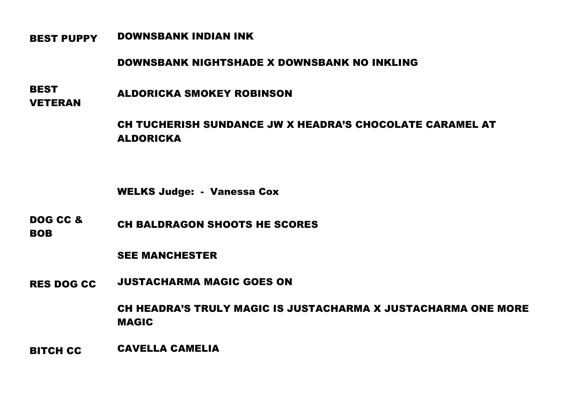## BEST PUPPY DOWNSBANK INDIAN INK

### DOWNSBANK NIGHTSHADE X DOWNSBANK NO INKLING

**BEST** VETERAN ALDORICKA SMOKEY ROBINSON

> CH TUCHERISH SUNDANCE JW X HEADRA'S CHOCOLATE CARAMEL AT ALDORICKA

WELKS Judge: - Vanessa Cox

DOG CC & BOB CH BALDRAGON SHOOTS HE SCORES

SEE MANCHESTER

RES DOG CC JUSTACHARMA MAGIC GOES ON

CH HEADRA'S TRULY MAGIC IS JUSTACHARMA X JUSTACHARMA ONE MORE MAGIC

BITCH CC CAVELLA CAMELIA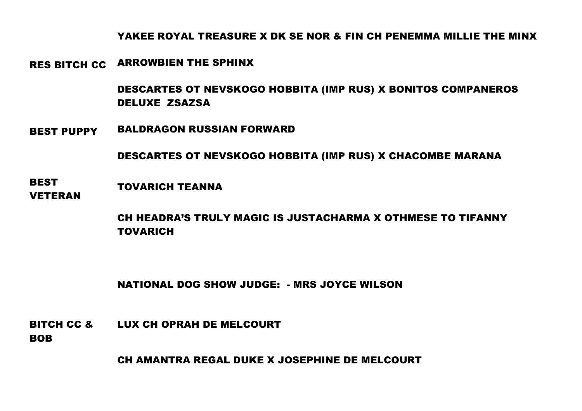# YAKEE ROYAL TREASURE X DK SE NOR & FIN CH PENEMMA MILLIE THE MINX

RES BITCH CC ARROWBIEN THE SPHINX

DESCARTES OT NEVSKOGO HOBBITA (IMP RUS) X BONITOS COMPANEROS DELUXE ZSAZSA

BEST PUPPY BALDRAGON RUSSIAN FORWARD

DESCARTES OT NEVSKOGO HOBBITA (IMP RUS) X CHACOMBE MARANA

**BEST** VETERAN TOVARICH TEANNA

> CH HEADRA'S TRULY MAGIC IS JUSTACHARMA X OTHMESE TO TIFANNY TOVARICH

NATIONAL DOG SHOW JUDGE: - MRS JOYCE WILSON

BITCH CC & LUX CH OPRAH DE MELCOURT

**BOB** 

CH AMANTRA REGAL DUKE X JOSEPHINE DE MELCOURT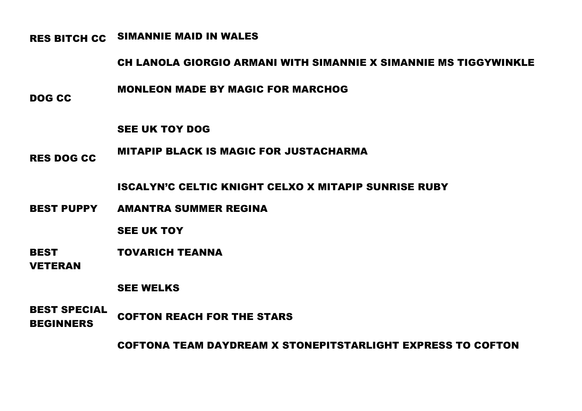RES BITCH CC SIMANNIE MAID IN WALES

# CH LANOLA GIORGIO ARMANI WITH SIMANNIE X SIMANNIE MS TIGGYWINKLE

MONLEON MADE BY MAGIC FOR MARCHOG

DOG CC

SEE UK TOY DOG

RES DOG CC MITAPIP BLACK IS MAGIC FOR JUSTACHARMA

ISCALYN'C CELTIC KNIGHT CELXO X MITAPIP SUNRISE RUBY

BEST PUPPY AMANTRA SUMMER REGINA

SEE UK TOY

BEST TOVARICH TEANNA

VETERAN

SEE WELKS

BEST SPECIAL BEGINNERS COFTON REACH FOR THE STARS

COFTONA TEAM DAYDREAM X STONEPITSTARLIGHT EXPRESS TO COFTON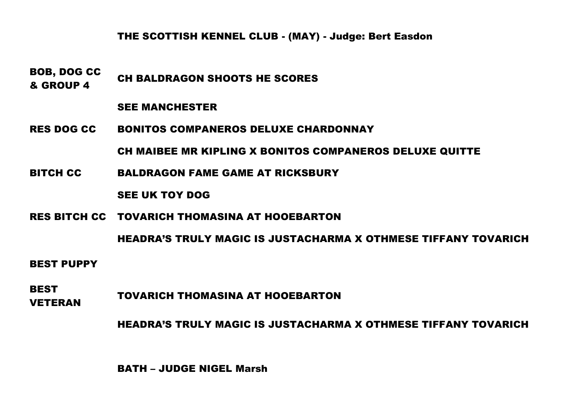# THE SCOTTISH KENNEL CLUB - (MAY) - Judge: Bert Easdon

BOB, DOG CC **EVERT CH BALDRAGON SHOOTS HE SCORES**<br>& GROUP 4

#### SEE MANCHESTER

RES DOG CC BONITOS COMPANEROS DELUXE CHARDONNAY

CH MAIBEE MR KIPLING X BONITOS COMPANEROS DELUXE QUITTE

BITCH CC BALDRAGON FAME GAME AT RICKSBURY

SEE UK TOY DOG

RES BITCH CC TOVARICH THOMASINA AT HOOEBARTON

HEADRA'S TRULY MAGIC IS JUSTACHARMA X OTHMESE TIFFANY TOVARICH

#### BEST PUPPY

BEST VETERAN TOVARICH THOMASINA AT HOOEBARTON

HEADRA'S TRULY MAGIC IS JUSTACHARMA X OTHMESE TIFFANY TOVARICH

BATH – JUDGE NIGEL Marsh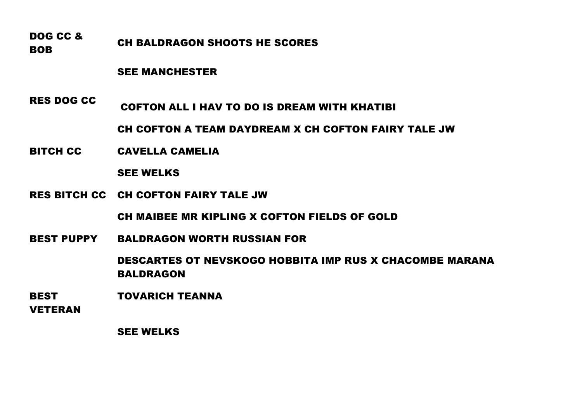DOG CC & **BOB** CH BALDRAGON SHOOTS HE SCORES

### SEE MANCHESTER

RES DOG CC COFTON ALL I HAV TO DO IS DREAM WITH KHATIBI

CH COFTON A TEAM DAYDREAM X CH COFTON FAIRY TALE JW

BITCH CC CAVELLA CAMELIA

### SEE WELKS

RES BITCH CC CH COFTON FAIRY TALE JW

CH MAIBEE MR KIPLING X COFTON FIELDS OF GOLD

BEST PUPPY BALDRAGON WORTH RUSSIAN FOR

DESCARTES OT NEVSKOGO HOBBITA IMP RUS X CHACOMBE MARANA BALDRAGON

BEST TOVARICH TEANNA

VETERAN

SEE WELKS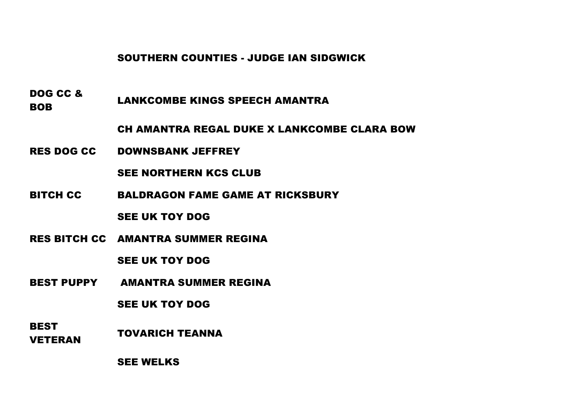SOUTHERN COUNTIES - JUDGE IAN SIDGWICK

DOG CC & **BOB** LANKCOMBE KINGS SPEECH AMANTRA

CH AMANTRA REGAL DUKE X LANKCOMBE CLARA BOW

RES DOG CC DOWNSBANK JEFFREY

SEE NORTHERN KCS CLUB

BITCH CC BALDRAGON FAME GAME AT RICKSBURY

SEE UK TOY DOG

RES BITCH CC AMANTRA SUMMER REGINA

SEE UK TOY DOG

BEST PUPPY AMANTRA SUMMER REGINA

SEE UK TOY DOG

**BEST** VETERAN TOVARICH TEANNA

SEE WELKS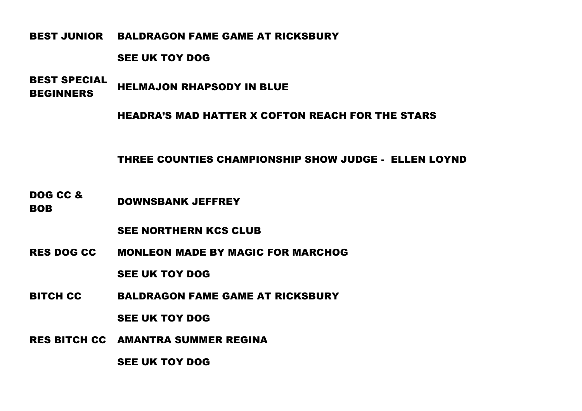BEST JUNIOR BALDRAGON FAME GAME AT RICKSBURY

#### SEE UK TOY DOG

BEST SPECIAL BEGINNERS HELMAJON RHAPSODY IN BLUE

HEADRA'S MAD HATTER X COFTON REACH FOR THE STARS

THREE COUNTIES CHAMPIONSHIP SHOW JUDGE - ELLEN LOYND

DOG CC & BOB DOWNSBANK JEFFREY

SEE NORTHERN KCS CLUB

RES DOG CC MONLEON MADE BY MAGIC FOR MARCHOG

SEE UK TOY DOG

BITCH CC BALDRAGON FAME GAME AT RICKSBURY

SEE UK TOY DOG

RES BITCH CC AMANTRA SUMMER REGINA

SEE UK TOY DOG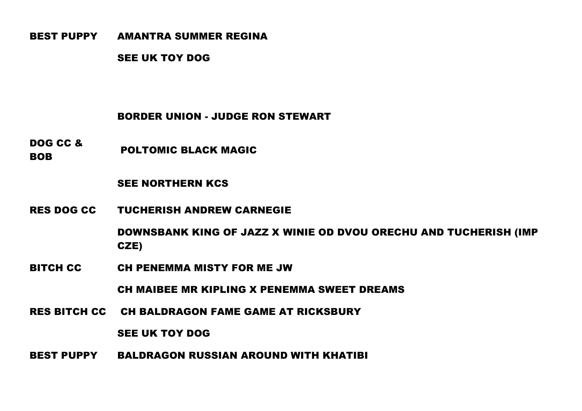### BEST PUPPY AMANTRA SUMMER REGINA

SEE UK TOY DOG

# BORDER UNION - JUDGE RON STEWART

DOG CC & **BOB** POLTOMIC BLACK MAGIC

### SEE NORTHERN KCS

RES DOG CC TUCHERISH ANDREW CARNEGIE

DOWNSBANK KING OF JAZZ X WINIE OD DVOU ORECHU AND TUCHERISH (IMP CZE)

BITCH CC CH PENEMMA MISTY FOR ME JW

CH MAIBEE MR KIPLING X PENEMMA SWEET DREAMS

RES BITCH CC CH BALDRAGON FAME GAME AT RICKSBURY

SEE UK TOY DOG

BEST PUPPY BALDRAGON RUSSIAN AROUND WITH KHATIBI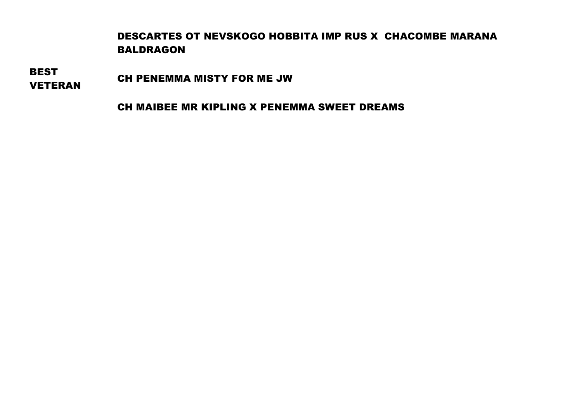# DESCARTES OT NEVSKOGO HOBBITA IMP RUS X CHACOMBE MARANA BALDRAGON

**BEST** 

VETERAN CH PENEMMA MISTY FOR ME JW

CH MAIBEE MR KIPLING X PENEMMA SWEET DREAMS